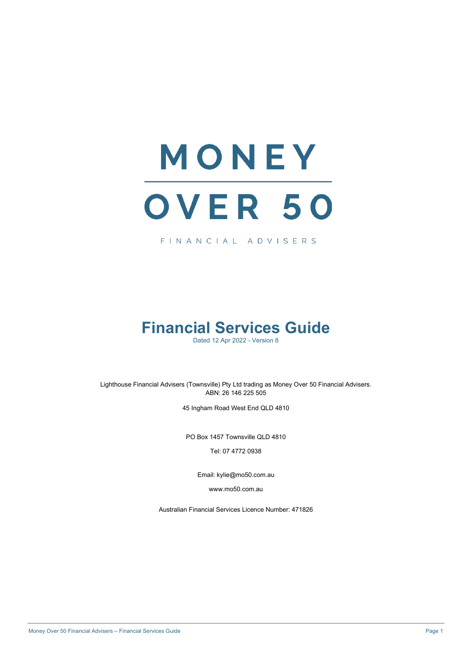# MONEY OVER 50

FINANCIAL ADVISERS

# **Financial Services Guide**

Dated 12 Apr 2022 - Version 8

Lighthouse Financial Advisers (Townsville) Pty Ltd trading as Money Over 50 Financial Advisers. ABN: 26 146 225 505

45 Ingham Road West End QLD 4810

PO Box 1457 Townsville QLD 4810

Tel: 07 4772 0938

Email: kylie@mo50.com.au

www.mo50.com.au

Australian Financial Services Licence Number: 471826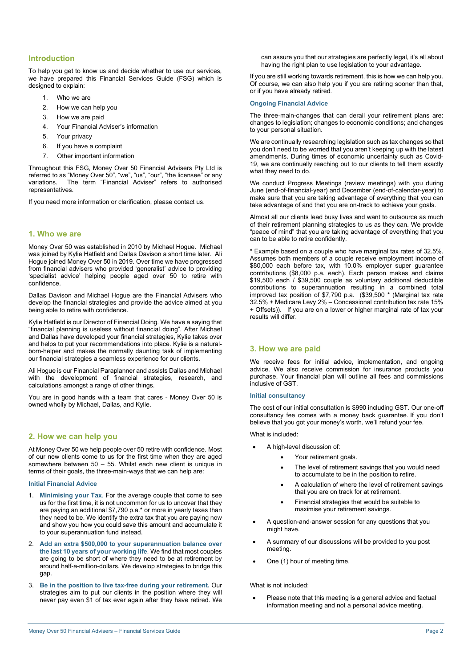# **Introduction**

To help you get to know us and decide whether to use our services, we have prepared this Financial Services Guide (FSG) which is designed to explain:

- 1. Who we are
- 2. How we can help you
- 3. How we are paid
- 4. Your Financial Adviser's information
- 5. Your privacy
- 6. If you have a complaint
- 7. Other important information

Throughout this FSG, Money Over 50 Financial Advisers Pty Ltd is referred to as "Money Over 50", "we", "us", "our", "the licensee" or any variations. The term "Financial Adviser" refers to authorised representatives.

If you need more information or clarification, please contact us.

# **1. Who we are**

Money Over 50 was established in 2010 by Michael Hogue. Michael was joined by Kylie Hatfield and Dallas Davison a short time later. Ali Hogue joined Money Over 50 in 2019. Over time we have progressed from financial advisers who provided 'generalist' advice to providing 'specialist advice' helping people aged over 50 to retire with confidence.

Dallas Davison and Michael Hogue are the Financial Advisers who develop the financial strategies and provide the advice aimed at you being able to retire with confidence.

Kylie Hatfield is our Director of Financial Doing. We have a saying that "financial planning is useless without financial doing". After Michael and Dallas have developed your financial strategies, Kylie takes over and helps to put your recommendations into place. Kylie is a naturalborn-helper and makes the normally daunting task of implementing our financial strategies a seamless experience for our clients.

Ali Hogue is our Financial Paraplanner and assists Dallas and Michael with the development of financial strategies, research, and calculations amongst a range of other things.

You are in good hands with a team that cares - Money Over 50 is owned wholly by Michael, Dallas, and Kylie.

# **2. How we can help you**

At Money Over 50 we help people over 50 retire with confidence. Most of our new clients come to us for the first time when they are aged somewhere between 50 – 55. Whilst each new client is unique in terms of their goals, the three-main-ways that we can help are:

#### **Initial Financial Advice**

- 1. **Minimising your Tax**. For the average couple that come to see us for the first time, it is not uncommon for us to uncover that they are paying an additional \$7,790 p.a.\* or more in yearly taxes than they need to be. We identify the extra tax that you are paying now and show you how you could save this amount and accumulate it to your superannuation fund instead.
- 2. **Add an extra \$500,000 to your superannuation balance over the last 10 years of your working life**. We find that most couples are going to be short of where they need to be at retirement by around half-a-million-dollars. We develop strategies to bridge this gap.
- 3. **Be in the position to live tax-free during your retirement.** Our strategies aim to put our clients in the position where they will never pay even \$1 of tax ever again after they have retired. We

can assure you that our strategies are perfectly legal, it's all about having the right plan to use legislation to your advantage.

If you are still working towards retirement, this is how we can help you. Of course, we can also help you if you are retiring sooner than that, or if you have already retired.

#### **Ongoing Financial Advice**

The three-main-changes that can derail your retirement plans are: changes to legislation; changes to economic conditions; and changes to your personal situation.

We are continually researching legislation such as tax changes so that you don't need to be worried that you aren't keeping up with the latest amendments. During times of economic uncertainty such as Covid-19, we are continually reaching out to our clients to tell them exactly what they need to do.

We conduct Progress Meetings (review meetings) with you during June (end-of-financial-year) and December (end-of-calendar-year) to make sure that you are taking advantage of everything that you can take advantage of and that you are on-track to achieve your goals.

Almost all our clients lead busy lives and want to outsource as much of their retirement planning strategies to us as they can. We provide "peace of mind" that you are taking advantage of everything that you can to be able to retire confidently.

\* Example based on a couple who have marginal tax rates of 32.5%. Assumes both members of a couple receive employment income of \$80,000 each before tax, with 10.0% employer super guarantee contributions (\$8,000 p.a. each). Each person makes and claims \$19,500 each / \$39,500 couple as voluntary additional deductible contributions to superannuation resulting in a combined total improved tax position of \$7,790 p.a. (\$39,500 \* (Marginal tax rate 32.5% + Medicare Levy 2% – Concessional contribution tax rate 15% + Offsets)). If you are on a lower or higher marginal rate of tax your results will differ.

# **3. How we are paid**

We receive fees for initial advice, implementation, and ongoing advice. We also receive commission for insurance products you purchase. Your financial plan will outline all fees and commissions inclusive of GST.

#### **Initial consultancy**

The cost of our initial consultation is \$990 including GST. Our one-off consultancy fee comes with a money back guarantee. If you don't believe that you got your money's worth, we'll refund your fee.

What is included:

- A high-level discussion of:
	- Your retirement goals.
		- The level of retirement savings that you would need to accumulate to be in the position to retire.
		- A calculation of where the level of retirement savings that you are on track for at retirement.
		- Financial strategies that would be suitable to maximise your retirement savings.
- A question-and-answer session for any questions that you might have.
- A summary of our discussions will be provided to you post meeting.
- One (1) hour of meeting time.

#### What is not included:

Please note that this meeting is a general advice and factual information meeting and not a personal advice meeting.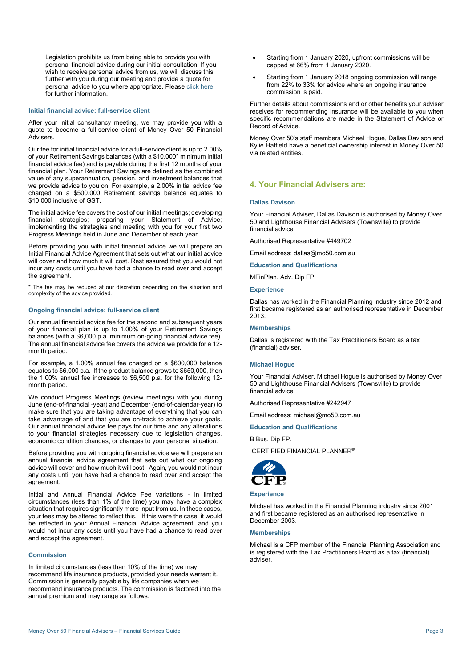We conduct Progress Meetings (review meetings) with you during June (end-of-financial -year) and December (end-of-calendar-year) to make sure that you are taking advantage of everything that you can

**Ongoing financial advice: full-service client** 

take advantage of and that you are on-track to achieve your goals. Our annual financial advice fee pays for our time and any alterations to your financial strategies necessary due to legislation changes, economic condition changes, or changes to your personal situation.

Legislation prohibits us from being able to provide you with personal financial advice during our initial consultation. If you wish to receive personal advice from us, we will discuss this further with you during our meeting and provide a quote for personal advice to you where appropriate. Pleas[e click here](https://moneysmart.gov.au/glossary/general-and-personal-advice#:%7E:text=Personal%20advice%20is%20a%20recommendation,act%20in%20your%20best%20interest.&text=Simple%2C%20single%2Dissue%20advice%20%E2%80%94%20Help%20with%20one%20financial%20issue.)

After your initial consultancy meeting, we may provide you with a quote to become a full-service client of Money Over 50 Financial

Our fee for initial financial advice for a full-service client is up to 2.00% of your Retirement Savings balances (with a \$10,000\* minimum initial financial advice fee) and is payable during the first 12 months of your financial plan. Your Retirement Savings are defined as the combined value of any superannuation, pension, and investment balances that we provide advice to you on. For example, a 2.00% initial advice fee charged on a \$500,000 Retirement savings balance equates to

The initial advice fee covers the cost of our initial meetings; developing financial strategies; preparing your Statement of Advice; implementing the strategies and meeting with you for your first two Progress Meetings held in June and December of each year.

Before providing you with initial financial advice we will prepare an Initial Financial Advice Agreement that sets out what our initial advice will cover and how much it will cost. Rest assured that you would not incur any costs until you have had a chance to read over and accept

\* The fee may be reduced at our discretion depending on the situation and

Our annual financial advice fee for the second and subsequent years of your financial plan is up to 1.00% of your Retirement Savings balances (with a \$6,000 p.a. minimum on-going financial advice fee). The annual financial advice fee covers the advice we provide for a 12-

For example, a 1.00% annual fee charged on a \$600,000 balance equates to \$6,000 p.a. If the product balance grows to \$650,000, then the 1.00% annual fee increases to \$6,500 p.a. for the following 12-

for further information.

\$10,000 inclusive of GST.

the agreement.

month period.

month period.

complexity of the advice provided.

Advisers.

**Initial financial advice: full-service client** 

Before providing you with ongoing financial advice we will prepare an annual financial advice agreement that sets out what our ongoing advice will cover and how much it will cost. Again, you would not incur any costs until you have had a chance to read over and accept the agreement.

Initial and Annual Financial Advice Fee variations - in limited circumstances (less than 1% of the time) you may have a complex situation that requires significantly more input from us. In these cases, your fees may be altered to reflect this. If this were the case, it would be reflected in your Annual Financial Advice agreement, and you would not incur any costs until you have had a chance to read over and accept the agreement.

#### **Commission**

In limited circumstances (less than 10% of the time) we may recommend life insurance products, provided your needs warrant it. Commission is generally payable by life companies when we recommend insurance products. The commission is factored into the annual premium and may range as follows:

- Starting from 1 January 2020, upfront commissions will be capped at 66% from 1 January 2020.
- Starting from 1 January 2018 ongoing commission will range from 22% to 33% for advice where an ongoing insurance commission is paid.

Further details about commissions and or other benefits your adviser receives for recommending insurance will be available to you when specific recommendations are made in the Statement of Advice or Record of Advice.

Money Over 50's staff members Michael Hogue, Dallas Davison and Kylie Hatfield have a beneficial ownership interest in Money Over 50 via related entities.

# **4. Your Financial Advisers are:**

#### **Dallas Davison**

Your Financial Adviser, Dallas Davison is authorised by Money Over 50 and Lighthouse Financial Advisers (Townsville) to provide financial advice.

Authorised Representative #449702

Email address: dallas@mo50.com.au

**Education and Qualifications**

MFinPlan. Adv. Dip FP.

#### **Experience**

Dallas has worked in the Financial Planning industry since 2012 and first became registered as an authorised representative in December 2013.

#### **Memberships**

Dallas is registered with the Tax Practitioners Board as a tax (financial) adviser.

#### **Michael Hogue**

Your Financial Adviser, Michael Hogue is authorised by Money Over 50 and Lighthouse Financial Advisers (Townsville) to provide financial advice.

Authorised Representative #242947

Email address: michael@mo50.com.au

**Education and Qualifications**

B Bus. Dip FP.

CERTIFIED FINANCIAL PLANNER®



#### **Experience**

Michael has worked in the Financial Planning industry since 2001 and first became registered as an authorised representative in December 2003.

#### **Memberships**

Michael is a CFP member of the Financial Planning Association and is registered with the Tax Practitioners Board as a tax (financial) adviser.